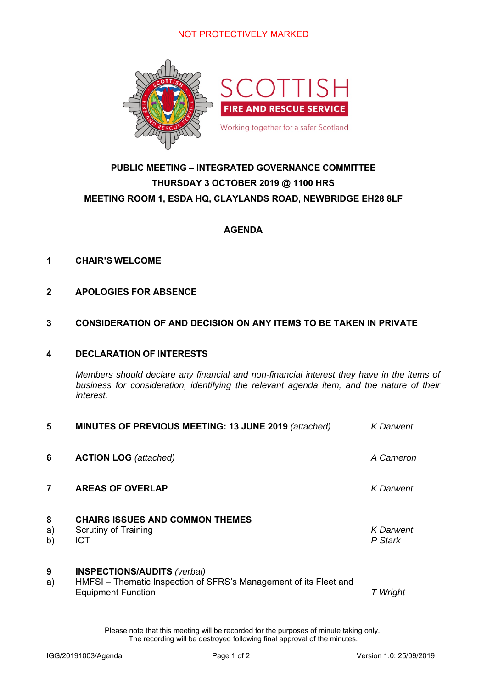

## **PUBLIC MEETING – INTEGRATED GOVERNANCE COMMITTEE THURSDAY 3 OCTOBER 2019 @ 1100 HRS MEETING ROOM 1, ESDA HQ, CLAYLANDS ROAD, NEWBRIDGE EH28 8LF**

### **AGENDA**

### **1 CHAIR'S WELCOME**

**2 APOLOGIES FOR ABSENCE** 

### **3 CONSIDERATION OF AND DECISION ON ANY ITEMS TO BE TAKEN IN PRIVATE**

### **4 DECLARATION OF INTERESTS**

*Members should declare any financial and non-financial interest they have in the items of business for consideration, identifying the relevant agenda item, and the nature of their interest.* 

| 5             | MINUTES OF PREVIOUS MEETING: 13 JUNE 2019 (attached)                                                                                 | <b>K</b> Darwent            |
|---------------|--------------------------------------------------------------------------------------------------------------------------------------|-----------------------------|
| 6             | <b>ACTION LOG</b> (attached)                                                                                                         | A Cameron                   |
| 7             | <b>AREAS OF OVERLAP</b>                                                                                                              | <b>K</b> Darwent            |
| 8<br>a)<br>b) | <b>CHAIRS ISSUES AND COMMON THEMES</b><br>Scrutiny of Training<br><b>ICT</b>                                                         | <b>K</b> Darwent<br>P Stark |
| 9<br>a)       | <b>INSPECTIONS/AUDITS (verbal)</b><br>HMFSI – Thematic Inspection of SFRS's Management of its Fleet and<br><b>Equipment Function</b> | T Wright                    |

Please note that this meeting will be recorded for the purposes of minute taking only. The recording will be destroyed following final approval of the minutes.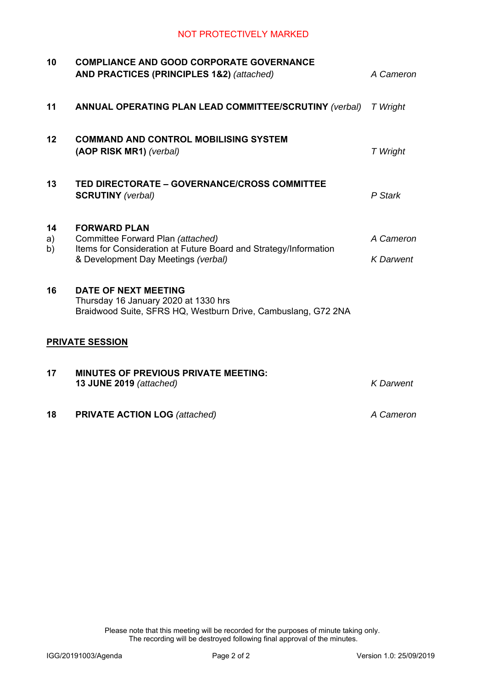| 10             | <b>COMPLIANCE AND GOOD CORPORATE GOVERNANCE</b><br>AND PRACTICES (PRINCIPLES 1&2) (attached)                                                                        | A Cameron                     |
|----------------|---------------------------------------------------------------------------------------------------------------------------------------------------------------------|-------------------------------|
| 11             | <b>ANNUAL OPERATING PLAN LEAD COMMITTEE/SCRUTINY (verbal)</b>                                                                                                       | T Wright                      |
| 12             | <b>COMMAND AND CONTROL MOBILISING SYSTEM</b><br>(AOP RISK MR1) (verbal)                                                                                             | T Wright                      |
| 13             | TED DIRECTORATE - GOVERNANCE/CROSS COMMITTEE<br><b>SCRUTINY</b> (verbal)                                                                                            | P Stark                       |
| 14<br>a)<br>b) | <b>FORWARD PLAN</b><br>Committee Forward Plan (attached)<br>Items for Consideration at Future Board and Strategy/Information<br>& Development Day Meetings (verbal) | A Cameron<br><b>K</b> Darwent |
| 16             | <b>DATE OF NEXT MEETING</b><br>Thursday 16 January 2020 at 1330 hrs<br>Braidwood Suite, SFRS HQ, Westburn Drive, Cambuslang, G72 2NA                                |                               |
|                | <b>PRIVATE SESSION</b>                                                                                                                                              |                               |
| 17             | <b>MINUTES OF PREVIOUS PRIVATE MEETING:</b><br>13 JUNE 2019 (attached)                                                                                              | <b>K</b> Darwent              |
| 18             | <b>PRIVATE ACTION LOG</b> (attached)                                                                                                                                | A Cameron                     |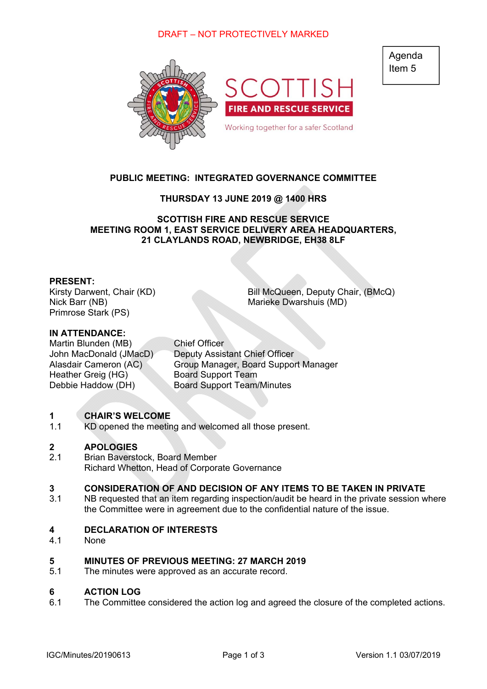### DRAFT – NOT PROTECTIVELY MARKED



### **PUBLIC MEETING: INTEGRATED GOVERNANCE COMMITTEE**

### **THURSDAY 13 JUNE 2019 @ 1400 HRS**

**SCOTTISH FIRE AND RESCUE SERVICE MEETING ROOM 1, EAST SERVICE DELIVERY AREA HEADQUARTERS, 21 CLAYLANDS ROAD, NEWBRIDGE, EH38 8LF** 

### **PRESENT:**

Nick Barr (NB) Marieke Dwarshuis (MD) Primrose Stark (PS)

Kirsty Darwent, Chair (KD) Bill McQueen, Deputy Chair, (BMcQ)

### **IN ATTENDANCE:**

Martin Blunden (MB) Chief Officer Heather Greig (HG) Board Support Team

John MacDonald (JMacD) Deputy Assistant Chief Officer Alasdair Cameron (AC) Group Manager, Board Support Manager Debbie Haddow (DH) Board Support Team/Minutes

#### **1 CHAIR'S WELCOME**

1.1 KD opened the meeting and welcomed all those present.

#### **2 APOLOGIES**

2.1 Brian Baverstock, Board Member Richard Whetton, Head of Corporate Governance

#### **3 CONSIDERATION OF AND DECISION OF ANY ITEMS TO BE TAKEN IN PRIVATE**

3.1 NB requested that an item regarding inspection/audit be heard in the private session where the Committee were in agreement due to the confidential nature of the issue.

#### **4 DECLARATION OF INTERESTS**

4.1 **None** 

#### **5 MINUTES OF PREVIOUS MEETING: 27 MARCH 2019**

5.1 The minutes were approved as an accurate record.

#### **6 ACTION LOG**

6.1 The Committee considered the action log and agreed the closure of the completed actions.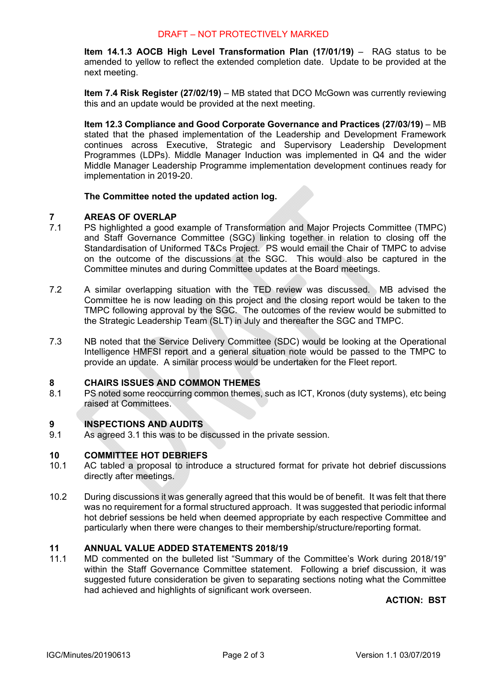### DRAFT – NOT PROTECTIVELY MARKED

**Item 14.1.3 AOCB High Level Transformation Plan (17/01/19)** – RAG status to be amended to yellow to reflect the extended completion date. Update to be provided at the next meeting.

**Item 7.4 Risk Register (27/02/19)** – MB stated that DCO McGown was currently reviewing this and an update would be provided at the next meeting.

**Item 12.3 Compliance and Good Corporate Governance and Practices (27/03/19)** – MB stated that the phased implementation of the Leadership and Development Framework continues across Executive, Strategic and Supervisory Leadership Development Programmes (LDPs). Middle Manager Induction was implemented in Q4 and the wider Middle Manager Leadership Programme implementation development continues ready for implementation in 2019-20.

### **The Committee noted the updated action log.**

#### **7 AREAS OF OVERLAP**

- 7.1 PS highlighted a good example of Transformation and Major Projects Committee (TMPC) and Staff Governance Committee (SGC) linking together in relation to closing off the Standardisation of Uniformed T&Cs Project. PS would email the Chair of TMPC to advise on the outcome of the discussions at the SGC. This would also be captured in the Committee minutes and during Committee updates at the Board meetings.
- 7.2 A similar overlapping situation with the TED review was discussed. MB advised the Committee he is now leading on this project and the closing report would be taken to the TMPC following approval by the SGC. The outcomes of the review would be submitted to the Strategic Leadership Team (SLT) in July and thereafter the SGC and TMPC.
- 7.3 NB noted that the Service Delivery Committee (SDC) would be looking at the Operational Intelligence HMFSI report and a general situation note would be passed to the TMPC to provide an update. A similar process would be undertaken for the Fleet report.

#### **8 CHAIRS ISSUES AND COMMON THEMES**

8.1 PS noted some reoccurring common themes, such as ICT, Kronos (duty systems), etc being raised at Committees.

#### **9 INSPECTIONS AND AUDITS**

9.1 As agreed 3.1 this was to be discussed in the private session.

#### **10 COMMITTEE HOT DEBRIEFS**

- 10.1 AC tabled a proposal to introduce a structured format for private hot debrief discussions directly after meetings.
- 10.2 During discussions it was generally agreed that this would be of benefit. It was felt that there was no requirement for a formal structured approach. It was suggested that periodic informal hot debrief sessions be held when deemed appropriate by each respective Committee and particularly when there were changes to their membership/structure/reporting format.

#### **11 ANNUAL VALUE ADDED STATEMENTS 2018/19**

11.1 MD commented on the bulleted list "Summary of the Committee's Work during 2018/19" within the Staff Governance Committee statement. Following a brief discussion, it was suggested future consideration be given to separating sections noting what the Committee had achieved and highlights of significant work overseen.

### **ACTION: BST**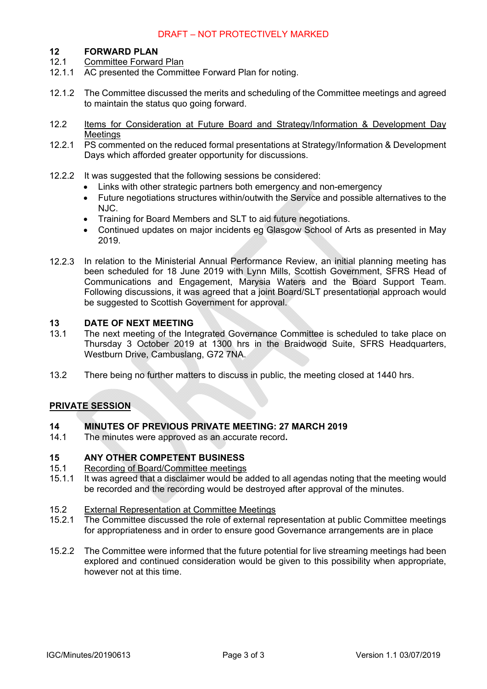### DRAFT – NOT PROTECTIVELY MARKED

#### **12 FORWARD PLAN**

- 12.1 Committee Forward Plan
- 12.1.1 AC presented the Committee Forward Plan for noting.
- 12.1.2 The Committee discussed the merits and scheduling of the Committee meetings and agreed to maintain the status quo going forward.
- 12.2 Items for Consideration at Future Board and Strategy/Information & Development Day **Meetings**
- 12.2.1 PS commented on the reduced formal presentations at Strategy/Information & Development Days which afforded greater opportunity for discussions.
- 12.2.2 It was suggested that the following sessions be considered:
	- Links with other strategic partners both emergency and non-emergency
	- Future negotiations structures within/outwith the Service and possible alternatives to the NJC.
	- Training for Board Members and SLT to aid future negotiations.
	- Continued updates on major incidents eg Glasgow School of Arts as presented in May 2019.
- 12.2.3 In relation to the Ministerial Annual Performance Review, an initial planning meeting has been scheduled for 18 June 2019 with Lynn Mills, Scottish Government, SFRS Head of Communications and Engagement, Marysia Waters and the Board Support Team. Following discussions, it was agreed that a joint Board/SLT presentational approach would be suggested to Scottish Government for approval.

#### **13 DATE OF NEXT MEETING**

- 13.1 The next meeting of the Integrated Governance Committee is scheduled to take place on Thursday 3 October 2019 at 1300 hrs in the Braidwood Suite, SFRS Headquarters, Westburn Drive, Cambuslang, G72 7NA.
- 13.2 There being no further matters to discuss in public, the meeting closed at 1440 hrs.

### **PRIVATE SESSION**

#### **14 MINUTES OF PREVIOUS PRIVATE MEETING: 27 MARCH 2019**

14.1 The minutes were approved as an accurate record**.** 

#### **15 ANY OTHER COMPETENT BUSINESS**

- 15.1 Recording of Board/Committee meetings
- 15.1.1 It was agreed that a disclaimer would be added to all agendas noting that the meeting would be recorded and the recording would be destroyed after approval of the minutes.
- 15.2 External Representation at Committee Meetings
- 15.2.1 The Committee discussed the role of external representation at public Committee meetings for appropriateness and in order to ensure good Governance arrangements are in place
- 15.2.2 The Committee were informed that the future potential for live streaming meetings had been explored and continued consideration would be given to this possibility when appropriate, however not at this time.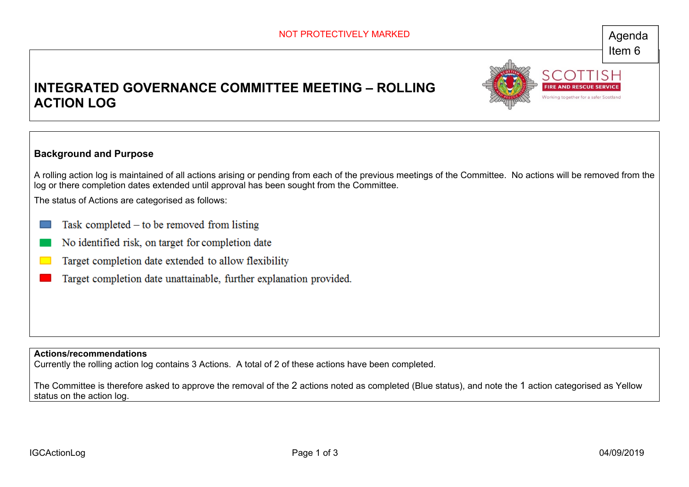Working together for a safer Sci

# **INTEGRATED GOVERNANCE COMMITTEE MEETING – ROLLING ACTION LOG**



A rolling action log is maintained of all actions arising or pending from each of the previous meetings of the Committee. No actions will be removed from the log or there completion dates extended until approval has been sought from the Committee.

The status of Actions are categorised as follows:

- Task completed  $-$  to be removed from listing
- No identified risk, on target for completion date
- Target completion date extended to allow flexibility
- Target completion date unattainable, further explanation provided.

**Actions/recommendations** 

Currently the rolling action log contains 3 Actions. A total of 2 of these actions have been completed.

The Committee is therefore asked to approve the removal of the 2 actions noted as completed (Blue status), and note the 1 action categorised as Yellow status on the action log.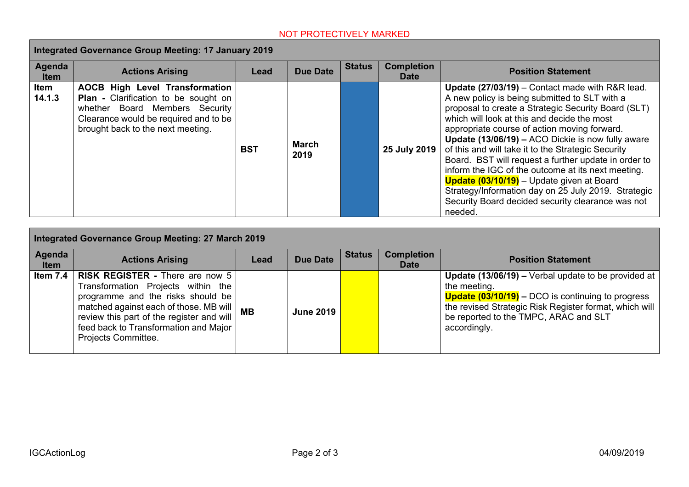| <b>Integrated Governance Group Meeting: 17 January 2019</b> |                                                                                                                                                                                               |            |                      |               |                                  |                                                                                                                                                                                                                                                                                                                                                                                                                                                                                                                                                                                                                                                            |  |  |  |
|-------------------------------------------------------------|-----------------------------------------------------------------------------------------------------------------------------------------------------------------------------------------------|------------|----------------------|---------------|----------------------------------|------------------------------------------------------------------------------------------------------------------------------------------------------------------------------------------------------------------------------------------------------------------------------------------------------------------------------------------------------------------------------------------------------------------------------------------------------------------------------------------------------------------------------------------------------------------------------------------------------------------------------------------------------------|--|--|--|
| Agenda<br><b>Item</b>                                       | <b>Actions Arising</b>                                                                                                                                                                        | Lead       | <b>Due Date</b>      | <b>Status</b> | <b>Completion</b><br><b>Date</b> | <b>Position Statement</b>                                                                                                                                                                                                                                                                                                                                                                                                                                                                                                                                                                                                                                  |  |  |  |
| Item<br>14.1.3                                              | <b>AOCB High Level Transformation</b><br>Plan - Clarification to be sought on<br>whether Board Members Security<br>Clearance would be required and to be<br>brought back to the next meeting. | <b>BST</b> | <b>March</b><br>2019 |               | 25 July 2019                     | Update (27/03/19) - Contact made with R&R lead.<br>A new policy is being submitted to SLT with a<br>proposal to create a Strategic Security Board (SLT)<br>which will look at this and decide the most<br>appropriate course of action moving forward.<br>Update (13/06/19) - ACO Dickie is now fully aware<br>of this and will take it to the Strategic Security<br>Board. BST will request a further update in order to<br>inform the IGC of the outcome at its next meeting.<br><b>Update (03/10/19)</b> – Update given at Board<br>Strategy/Information day on 25 July 2019. Strategic<br>Security Board decided security clearance was not<br>needed. |  |  |  |

| <b>Integrated Governance Group Meeting: 27 March 2019</b> |                                                                                                                                                                                                                                                                          |           |                  |               |                                  |                                                                                                                                                                                                                                                                        |  |  |
|-----------------------------------------------------------|--------------------------------------------------------------------------------------------------------------------------------------------------------------------------------------------------------------------------------------------------------------------------|-----------|------------------|---------------|----------------------------------|------------------------------------------------------------------------------------------------------------------------------------------------------------------------------------------------------------------------------------------------------------------------|--|--|
| Agenda<br><b>Item</b>                                     | <b>Actions Arising</b>                                                                                                                                                                                                                                                   | Lead      | <b>Due Date</b>  | <b>Status</b> | <b>Completion</b><br><b>Date</b> | <b>Position Statement</b>                                                                                                                                                                                                                                              |  |  |
| Item 7.4                                                  | <b>RISK REGISTER - There are now 5</b><br>Transformation Projects within the<br>programme and the risks should be<br>matched against each of those. MB will<br>review this part of the register and will<br>feed back to Transformation and Major<br>Projects Committee. | <b>MB</b> | <b>June 2019</b> |               |                                  | <b>Update (13/06/19) –</b> Verbal update to be provided at<br>the meeting.<br><b>Update <math>(03/10/19)</math></b> – DCO is continuing to progress<br>the revised Strategic Risk Register format, which will<br>be reported to the TMPC, ARAC and SLT<br>accordingly. |  |  |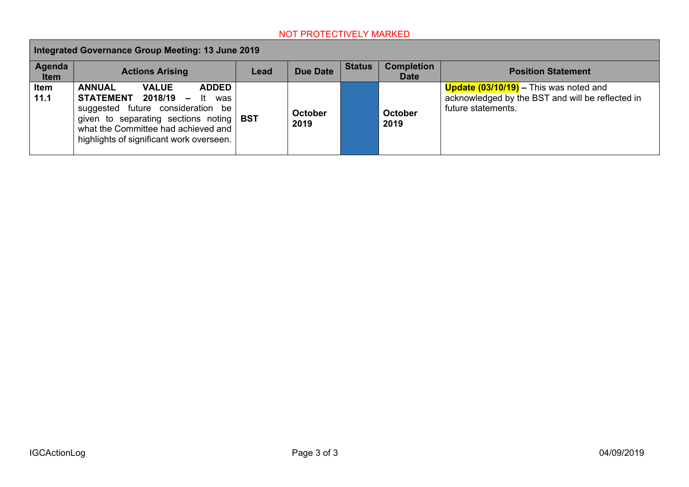| Integrated Governance Group Meeting: 13 June 2019 |                                                                                                                                                                                                                                               |      |                        |               |                                                               |                                                                                                                                      |  |  |
|---------------------------------------------------|-----------------------------------------------------------------------------------------------------------------------------------------------------------------------------------------------------------------------------------------------|------|------------------------|---------------|---------------------------------------------------------------|--------------------------------------------------------------------------------------------------------------------------------------|--|--|
| Agenda<br><b>Item</b>                             | <b>Actions Arising</b>                                                                                                                                                                                                                        | Lead | <b>Due Date</b>        | <b>Status</b> | <b>Completion</b><br><b>Position Statement</b><br><b>Date</b> |                                                                                                                                      |  |  |
| Item<br>11.1                                      | <b>ANNUAL</b><br><b>ADDED</b><br><b>VALUE</b><br>STATEMENT 2018/19 - It was<br>future consideration be<br>suggested<br>given to separating sections noting<br>what the Committee had achieved and<br>highlights of significant work overseen. | BST  | <b>October</b><br>2019 |               | <b>October</b><br>2019                                        | <b>Update <math>(03/10/19)</math></b> – This was noted and<br>acknowledged by the BST and will be reflected in<br>future statements. |  |  |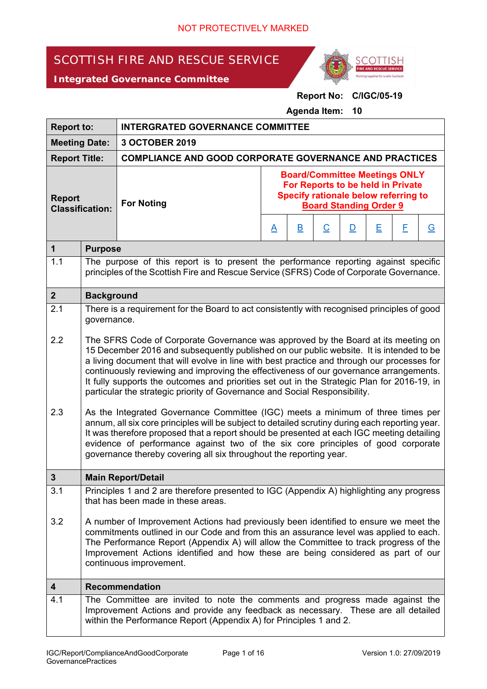# SCOTTISH FIRE AND RESCUE SERVICE

*Integrated Governance Committee*



### **Report No: C/IGC/05-19**

**Agenda Item: 10** 

| <b>Report to:</b>                       |                                                                                                                                                                                                                                                                                                                                                                                                                                                                                                                                                                                                                                                                                                                                                                                                                                                                                                                           | <b>INTERGRATED GOVERNANCE COMMITTEE</b>                                                                                                                                        |                                                                                                                                                    |                         |                          |              |   |   |          |  |
|-----------------------------------------|---------------------------------------------------------------------------------------------------------------------------------------------------------------------------------------------------------------------------------------------------------------------------------------------------------------------------------------------------------------------------------------------------------------------------------------------------------------------------------------------------------------------------------------------------------------------------------------------------------------------------------------------------------------------------------------------------------------------------------------------------------------------------------------------------------------------------------------------------------------------------------------------------------------------------|--------------------------------------------------------------------------------------------------------------------------------------------------------------------------------|----------------------------------------------------------------------------------------------------------------------------------------------------|-------------------------|--------------------------|--------------|---|---|----------|--|
|                                         | <b>Meeting Date:</b>                                                                                                                                                                                                                                                                                                                                                                                                                                                                                                                                                                                                                                                                                                                                                                                                                                                                                                      | 3 OCTOBER 2019                                                                                                                                                                 |                                                                                                                                                    |                         |                          |              |   |   |          |  |
| <b>Report Title:</b>                    |                                                                                                                                                                                                                                                                                                                                                                                                                                                                                                                                                                                                                                                                                                                                                                                                                                                                                                                           | <b>COMPLIANCE AND GOOD CORPORATE GOVERNANCE AND PRACTICES</b>                                                                                                                  |                                                                                                                                                    |                         |                          |              |   |   |          |  |
| <b>Report</b><br><b>Classification:</b> |                                                                                                                                                                                                                                                                                                                                                                                                                                                                                                                                                                                                                                                                                                                                                                                                                                                                                                                           | <b>For Noting</b>                                                                                                                                                              | <b>Board/Committee Meetings ONLY</b><br>For Reports to be held in Private<br>Specify rationale below referring to<br><b>Board Standing Order 9</b> |                         |                          |              |   |   |          |  |
|                                         |                                                                                                                                                                                                                                                                                                                                                                                                                                                                                                                                                                                                                                                                                                                                                                                                                                                                                                                           |                                                                                                                                                                                | $\triangle$                                                                                                                                        | $\overline{\mathsf{B}}$ | $\underline{\mathsf{C}}$ | $\mathbf{D}$ | Ε | E | <u>G</u> |  |
| $\mathbf 1$                             | <b>Purpose</b>                                                                                                                                                                                                                                                                                                                                                                                                                                                                                                                                                                                                                                                                                                                                                                                                                                                                                                            |                                                                                                                                                                                |                                                                                                                                                    |                         |                          |              |   |   |          |  |
| 1.1                                     |                                                                                                                                                                                                                                                                                                                                                                                                                                                                                                                                                                                                                                                                                                                                                                                                                                                                                                                           | The purpose of this report is to present the performance reporting against specific<br>principles of the Scottish Fire and Rescue Service (SFRS) Code of Corporate Governance. |                                                                                                                                                    |                         |                          |              |   |   |          |  |
| $\overline{2}$                          | <b>Background</b>                                                                                                                                                                                                                                                                                                                                                                                                                                                                                                                                                                                                                                                                                                                                                                                                                                                                                                         |                                                                                                                                                                                |                                                                                                                                                    |                         |                          |              |   |   |          |  |
| 2.1                                     | governance.                                                                                                                                                                                                                                                                                                                                                                                                                                                                                                                                                                                                                                                                                                                                                                                                                                                                                                               | There is a requirement for the Board to act consistently with recognised principles of good                                                                                    |                                                                                                                                                    |                         |                          |              |   |   |          |  |
| 2.2<br>2.3                              | The SFRS Code of Corporate Governance was approved by the Board at its meeting on<br>15 December 2016 and subsequently published on our public website. It is intended to be<br>a living document that will evolve in line with best practice and through our processes for<br>continuously reviewing and improving the effectiveness of our governance arrangements.<br>It fully supports the outcomes and priorities set out in the Strategic Plan for 2016-19, in<br>particular the strategic priority of Governance and Social Responsibility.<br>As the Integrated Governance Committee (IGC) meets a minimum of three times per<br>annum, all six core principles will be subject to detailed scrutiny during each reporting year.<br>It was therefore proposed that a report should be presented at each IGC meeting detailing<br>evidence of performance against two of the six core principles of good corporate |                                                                                                                                                                                |                                                                                                                                                    |                         |                          |              |   |   |          |  |
|                                         |                                                                                                                                                                                                                                                                                                                                                                                                                                                                                                                                                                                                                                                                                                                                                                                                                                                                                                                           | governance thereby covering all six throughout the reporting year.                                                                                                             |                                                                                                                                                    |                         |                          |              |   |   |          |  |
| 3                                       |                                                                                                                                                                                                                                                                                                                                                                                                                                                                                                                                                                                                                                                                                                                                                                                                                                                                                                                           | <b>Main Report/Detail</b>                                                                                                                                                      |                                                                                                                                                    |                         |                          |              |   |   |          |  |
| 3.1                                     |                                                                                                                                                                                                                                                                                                                                                                                                                                                                                                                                                                                                                                                                                                                                                                                                                                                                                                                           | Principles 1 and 2 are therefore presented to IGC (Appendix A) highlighting any progress<br>that has been made in these areas.                                                 |                                                                                                                                                    |                         |                          |              |   |   |          |  |
| 3.2                                     | A number of Improvement Actions had previously been identified to ensure we meet the<br>commitments outlined in our Code and from this an assurance level was applied to each.<br>The Performance Report (Appendix A) will allow the Committee to track progress of the<br>Improvement Actions identified and how these are being considered as part of our<br>continuous improvement.                                                                                                                                                                                                                                                                                                                                                                                                                                                                                                                                    |                                                                                                                                                                                |                                                                                                                                                    |                         |                          |              |   |   |          |  |
| 4                                       |                                                                                                                                                                                                                                                                                                                                                                                                                                                                                                                                                                                                                                                                                                                                                                                                                                                                                                                           | <b>Recommendation</b>                                                                                                                                                          |                                                                                                                                                    |                         |                          |              |   |   |          |  |
| 4.1                                     | The Committee are invited to note the comments and progress made against the<br>Improvement Actions and provide any feedback as necessary. These are all detailed<br>within the Performance Report (Appendix A) for Principles 1 and 2.                                                                                                                                                                                                                                                                                                                                                                                                                                                                                                                                                                                                                                                                                   |                                                                                                                                                                                |                                                                                                                                                    |                         |                          |              |   |   |          |  |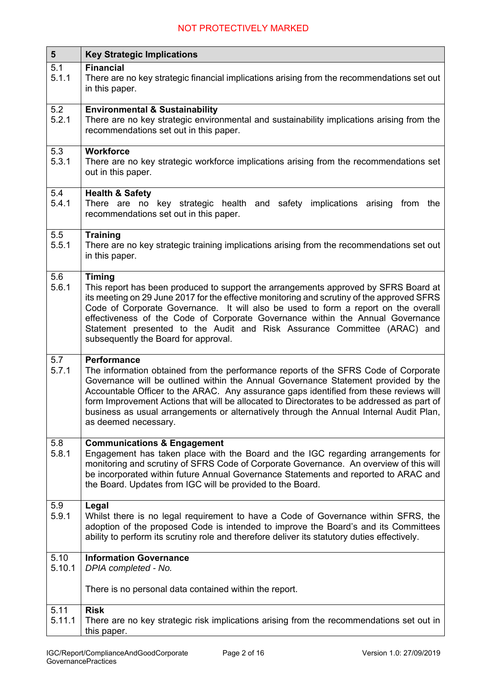| $5\phantom{1}$ | <b>Key Strategic Implications</b>                                                                                                                                                                                                                                                                                                                                                                                                                                                                          |  |  |  |  |  |  |
|----------------|------------------------------------------------------------------------------------------------------------------------------------------------------------------------------------------------------------------------------------------------------------------------------------------------------------------------------------------------------------------------------------------------------------------------------------------------------------------------------------------------------------|--|--|--|--|--|--|
| 5.1<br>5.1.1   | <b>Financial</b><br>There are no key strategic financial implications arising from the recommendations set out<br>in this paper.                                                                                                                                                                                                                                                                                                                                                                           |  |  |  |  |  |  |
| 5.2<br>5.2.1   | <b>Environmental &amp; Sustainability</b><br>There are no key strategic environmental and sustainability implications arising from the<br>recommendations set out in this paper.                                                                                                                                                                                                                                                                                                                           |  |  |  |  |  |  |
| 5.3<br>5.3.1   | <b>Workforce</b><br>There are no key strategic workforce implications arising from the recommendations set<br>out in this paper.                                                                                                                                                                                                                                                                                                                                                                           |  |  |  |  |  |  |
| 5.4<br>5.4.1   | <b>Health &amp; Safety</b><br>There are no<br>key strategic health and safety<br>implications arising<br>from the<br>recommendations set out in this paper.                                                                                                                                                                                                                                                                                                                                                |  |  |  |  |  |  |
| 5.5<br>5.5.1   | <b>Training</b><br>There are no key strategic training implications arising from the recommendations set out<br>in this paper.                                                                                                                                                                                                                                                                                                                                                                             |  |  |  |  |  |  |
| 5.6<br>5.6.1   | <b>Timing</b><br>This report has been produced to support the arrangements approved by SFRS Board at<br>its meeting on 29 June 2017 for the effective monitoring and scrutiny of the approved SFRS<br>Code of Corporate Governance. It will also be used to form a report on the overall<br>effectiveness of the Code of Corporate Governance within the Annual Governance<br>Statement presented to the Audit and Risk Assurance Committee (ARAC) and<br>subsequently the Board for approval.             |  |  |  |  |  |  |
| 5.7<br>5.7.1   | <b>Performance</b><br>The information obtained from the performance reports of the SFRS Code of Corporate<br>Governance will be outlined within the Annual Governance Statement provided by the<br>Accountable Officer to the ARAC. Any assurance gaps identified from these reviews will<br>form Improvement Actions that will be allocated to Directorates to be addressed as part of<br>business as usual arrangements or alternatively through the Annual Internal Audit Plan,<br>as deemed necessary. |  |  |  |  |  |  |
| 5.8<br>5.8.1   | <b>Communications &amp; Engagement</b><br>Engagement has taken place with the Board and the IGC regarding arrangements for<br>monitoring and scrutiny of SFRS Code of Corporate Governance. An overview of this will<br>be incorporated within future Annual Governance Statements and reported to ARAC and<br>the Board. Updates from IGC will be provided to the Board.                                                                                                                                  |  |  |  |  |  |  |
| 5.9<br>5.9.1   | Legal<br>Whilst there is no legal requirement to have a Code of Governance within SFRS, the<br>adoption of the proposed Code is intended to improve the Board's and its Committees<br>ability to perform its scrutiny role and therefore deliver its statutory duties effectively.                                                                                                                                                                                                                         |  |  |  |  |  |  |
| 5.10           | <b>Information Governance</b>                                                                                                                                                                                                                                                                                                                                                                                                                                                                              |  |  |  |  |  |  |
| 5.10.1         | DPIA completed - No.<br>There is no personal data contained within the report.                                                                                                                                                                                                                                                                                                                                                                                                                             |  |  |  |  |  |  |
| 5.11           | <b>Risk</b>                                                                                                                                                                                                                                                                                                                                                                                                                                                                                                |  |  |  |  |  |  |
| 5.11.1         | There are no key strategic risk implications arising from the recommendations set out in<br>this paper.                                                                                                                                                                                                                                                                                                                                                                                                    |  |  |  |  |  |  |

 $\mathbf{r}$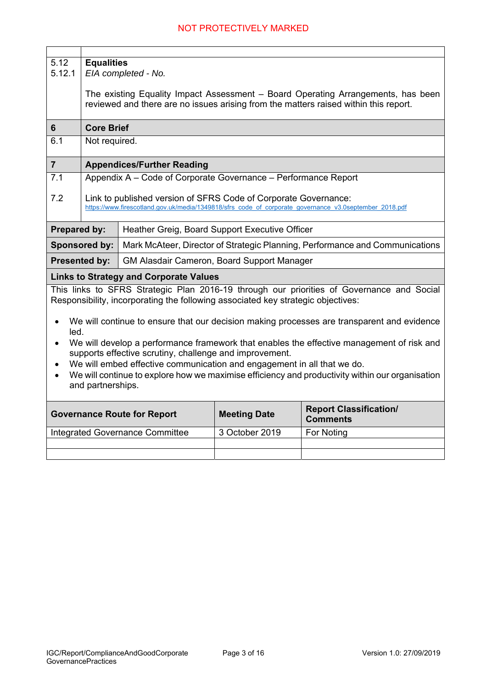| 5.12<br>5.12.1                                                                                                                                                                                                                                                                                                                                                                                 | <b>Equalities</b><br>EIA completed - No.                                                                                                                                  |                                                                                  |                |                                                                                            |  |  |  |  |  |  |
|------------------------------------------------------------------------------------------------------------------------------------------------------------------------------------------------------------------------------------------------------------------------------------------------------------------------------------------------------------------------------------------------|---------------------------------------------------------------------------------------------------------------------------------------------------------------------------|----------------------------------------------------------------------------------|----------------|--------------------------------------------------------------------------------------------|--|--|--|--|--|--|
|                                                                                                                                                                                                                                                                                                                                                                                                | The existing Equality Impact Assessment - Board Operating Arrangements, has been<br>reviewed and there are no issues arising from the matters raised within this report.  |                                                                                  |                |                                                                                            |  |  |  |  |  |  |
| 6                                                                                                                                                                                                                                                                                                                                                                                              | <b>Core Brief</b>                                                                                                                                                         |                                                                                  |                |                                                                                            |  |  |  |  |  |  |
| 6.1                                                                                                                                                                                                                                                                                                                                                                                            | Not required.                                                                                                                                                             |                                                                                  |                |                                                                                            |  |  |  |  |  |  |
| $\overline{7}$                                                                                                                                                                                                                                                                                                                                                                                 |                                                                                                                                                                           | <b>Appendices/Further Reading</b>                                                |                |                                                                                            |  |  |  |  |  |  |
| 7.1                                                                                                                                                                                                                                                                                                                                                                                            |                                                                                                                                                                           | Appendix A - Code of Corporate Governance - Performance Report                   |                |                                                                                            |  |  |  |  |  |  |
| 7.2                                                                                                                                                                                                                                                                                                                                                                                            | Link to published version of SFRS Code of Corporate Governance:<br>https://www.firescotland.gov.uk/media/1349818/sfrs code of corporate governance v3.0september 2018.pdf |                                                                                  |                |                                                                                            |  |  |  |  |  |  |
| Prepared by:                                                                                                                                                                                                                                                                                                                                                                                   |                                                                                                                                                                           | Heather Greig, Board Support Executive Officer                                   |                |                                                                                            |  |  |  |  |  |  |
|                                                                                                                                                                                                                                                                                                                                                                                                | <b>Sponsored by:</b>                                                                                                                                                      |                                                                                  |                | Mark McAteer, Director of Strategic Planning, Performance and Communications               |  |  |  |  |  |  |
|                                                                                                                                                                                                                                                                                                                                                                                                | <b>Presented by:</b>                                                                                                                                                      | <b>GM Alasdair Cameron, Board Support Manager</b>                                |                |                                                                                            |  |  |  |  |  |  |
|                                                                                                                                                                                                                                                                                                                                                                                                |                                                                                                                                                                           | <b>Links to Strategy and Corporate Values</b>                                    |                |                                                                                            |  |  |  |  |  |  |
|                                                                                                                                                                                                                                                                                                                                                                                                |                                                                                                                                                                           | Responsibility, incorporating the following associated key strategic objectives: |                | This links to SFRS Strategic Plan 2016-19 through our priorities of Governance and Social  |  |  |  |  |  |  |
| led.                                                                                                                                                                                                                                                                                                                                                                                           |                                                                                                                                                                           |                                                                                  |                | We will continue to ensure that our decision making processes are transparent and evidence |  |  |  |  |  |  |
| We will develop a performance framework that enables the effective management of risk and<br>$\bullet$<br>supports effective scrutiny, challenge and improvement.<br>We will embed effective communication and engagement in all that we do.<br>$\bullet$<br>We will continue to explore how we maximise efficiency and productivity within our organisation<br>$\bullet$<br>and partnerships. |                                                                                                                                                                           |                                                                                  |                |                                                                                            |  |  |  |  |  |  |
|                                                                                                                                                                                                                                                                                                                                                                                                | <b>Report Classification/</b><br><b>Meeting Date</b><br><b>Governance Route for Report</b><br><b>Comments</b>                                                             |                                                                                  |                |                                                                                            |  |  |  |  |  |  |
|                                                                                                                                                                                                                                                                                                                                                                                                |                                                                                                                                                                           | <b>Integrated Governance Committee</b>                                           | 3 October 2019 | For Noting                                                                                 |  |  |  |  |  |  |
|                                                                                                                                                                                                                                                                                                                                                                                                |                                                                                                                                                                           |                                                                                  |                |                                                                                            |  |  |  |  |  |  |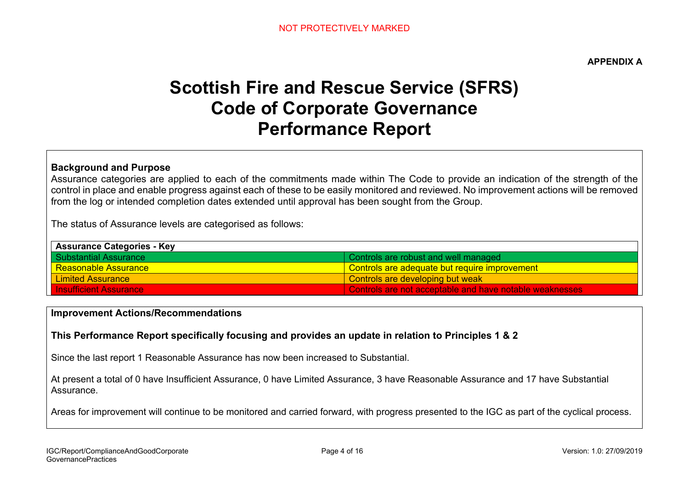**APPENDIX A** 

# **Scottish Fire and Rescue Service (SFRS) Code of Corporate Governance Performance Report**

### **Background and Purpose**

Assurance categories are applied to each of the commitments made within The Code to provide an indication of the strength of the control in place and enable progress against each of these to be easily monitored and reviewed. No improvement actions will be removed from the log or intended completion dates extended until approval has been sought from the Group.

The status of Assurance levels are categorised as follows:

| <b>Assurance Categories - Key</b> |                                                         |  |  |  |  |
|-----------------------------------|---------------------------------------------------------|--|--|--|--|
| I Substantial Assurance           | Controls are robust and well managed                    |  |  |  |  |
| <u>l Reasonable Assurance </u>    | Controls are adequate but require improvement           |  |  |  |  |
| <b>Limited Assurance</b>          | Controls are developing but weak                        |  |  |  |  |
| <b>Insufficient Assurance</b>     | Controls are not acceptable and have notable weaknesses |  |  |  |  |

### **Improvement Actions/Recommendations**

### **This Performance Report specifically focusing and provides an update in relation to Principles 1 & 2**

Since the last report 1 Reasonable Assurance has now been increased to Substantial.

At present a total of 0 have Insufficient Assurance, 0 have Limited Assurance, 3 have Reasonable Assurance and 17 have Substantial Assurance.

Areas for improvement will continue to be monitored and carried forward, with progress presented to the IGC as part of the cyclical process.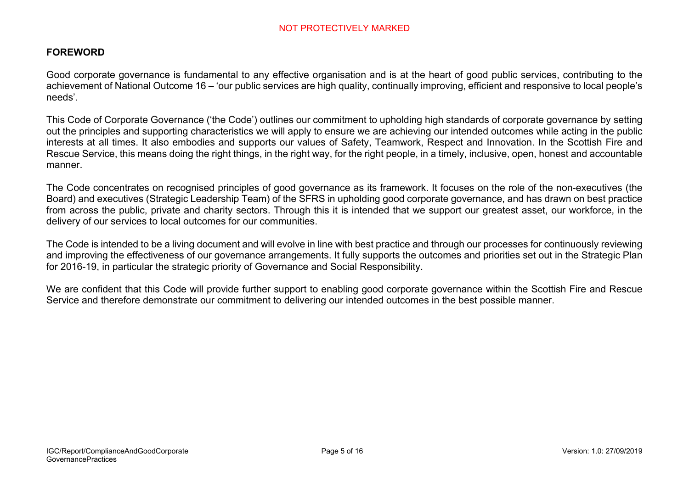### **FOREWORD**

Good corporate governance is fundamental to any effective organisation and is at the heart of good public services, contributing to the achievement of National Outcome 16 – 'our public services are high quality, continually improving, efficient and responsive to local people's needs'.

This Code of Corporate Governance ('the Code') outlines our commitment to upholding high standards of corporate governance by setting out the principles and supporting characteristics we will apply to ensure we are achieving our intended outcomes while acting in the public interests at all times. It also embodies and supports our values of Safety, Teamwork, Respect and Innovation. In the Scottish Fire and Rescue Service, this means doing the right things, in the right way, for the right people, in a timely, inclusive, open, honest and accountable manner.

The Code concentrates on recognised principles of good governance as its framework. It focuses on the role of the non-executives (the Board) and executives (Strategic Leadership Team) of the SFRS in upholding good corporate governance, and has drawn on best practice from across the public, private and charity sectors. Through this it is intended that we support our greatest asset, our workforce, in the delivery of our services to local outcomes for our communities.

The Code is intended to be a living document and will evolve in line with best practice and through our processes for continuously reviewing and improving the effectiveness of our governance arrangements. It fully supports the outcomes and priorities set out in the Strategic Plan for 2016-19, in particular the strategic priority of Governance and Social Responsibility.

We are confident that this Code will provide further support to enabling good corporate governance within the Scottish Fire and Rescue Service and therefore demonstrate our commitment to delivering our intended outcomes in the best possible manner.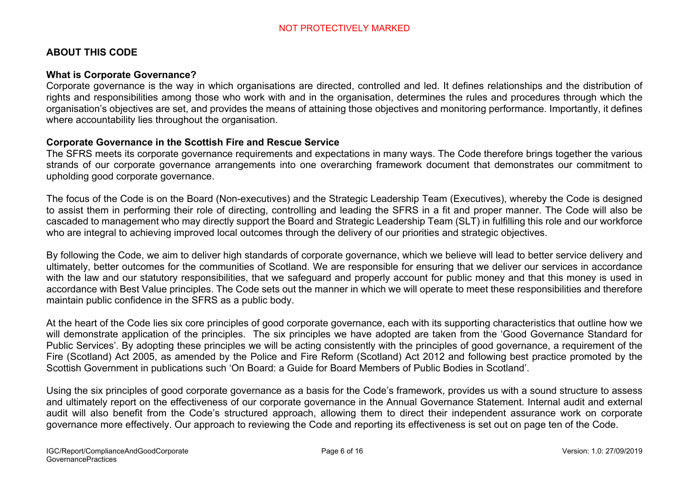### **ABOUT THIS CODE**

### **What is Corporate Governance?**

Corporate governance is the way in which organisations are directed, controlled and led. It defines relationships and the distribution of rights and responsibilities among those who work with and in the organisation, determines the rules and procedures through which the organisation's objectives are set, and provides the means of attaining those objectives and monitoring performance. Importantly, it defines where accountability lies throughout the organisation.

### **Corporate Governance in the Scottish Fire and Rescue Service**

The SFRS meets its corporate governance requirements and expectations in many ways. The Code therefore brings together the various strands of our corporate governance arrangements into one overarching framework document that demonstrates our commitment to upholding good corporate governance.

The focus of the Code is on the Board (Non-executives) and the Strategic Leadership Team (Executives), whereby the Code is designed to assist them in performing their role of directing, controlling and leading the SFRS in a fit and proper manner. The Code will also be cascaded to management who may directly support the Board and Strategic Leadership Team (SLT) in fulfilling this role and our workforce who are integral to achieving improved local outcomes through the delivery of our priorities and strategic objectives.

By following the Code, we aim to deliver high standards of corporate governance, which we believe will lead to better service delivery and ultimately, better outcomes for the communities of Scotland. We are responsible for ensuring that we deliver our services in accordance with the law and our statutory responsibilities, that we safeguard and properly account for public money and that this money is used in accordance with Best Value principles. The Code sets out the manner in which we will operate to meet these responsibilities and therefore maintain public confidence in the SFRS as a public body.

At the heart of the Code lies six core principles of good corporate governance, each with its supporting characteristics that outline how we will demonstrate application of the principles. The six principles we have adopted are taken from the 'Good Governance Standard for Public Services'. By adopting these principles we will be acting consistently with the principles of good governance, a requirement of the Fire (Scotland) Act 2005, as amended by the Police and Fire Reform (Scotland) Act 2012 and following best practice promoted by the Scottish Government in publications such 'On Board: a Guide for Board Members of Public Bodies in Scotland'.

Using the six principles of good corporate governance as a basis for the Code's framework, provides us with a sound structure to assess and ultimately report on the effectiveness of our corporate governance in the Annual Governance Statement. Internal audit and external audit will also benefit from the Code's structured approach, allowing them to direct their independent assurance work on corporate governance more effectively. Our approach to reviewing the Code and reporting its effectiveness is set out on page ten of the Code.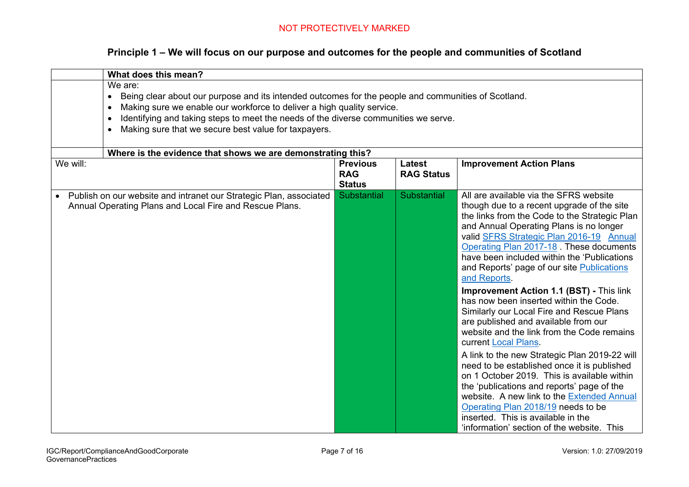| What does this mean?                                                                                                                                                                                                                                                                                                                                                                        |                                                                                                                                                                                        |                    |                                                                                                                                                                                                                                                                                                                                                                                                                                                                                                                                                                                                                                                                                                                                                                                                                                                                                                                                                                                                             |  |  |  |  |  |
|---------------------------------------------------------------------------------------------------------------------------------------------------------------------------------------------------------------------------------------------------------------------------------------------------------------------------------------------------------------------------------------------|----------------------------------------------------------------------------------------------------------------------------------------------------------------------------------------|--------------------|-------------------------------------------------------------------------------------------------------------------------------------------------------------------------------------------------------------------------------------------------------------------------------------------------------------------------------------------------------------------------------------------------------------------------------------------------------------------------------------------------------------------------------------------------------------------------------------------------------------------------------------------------------------------------------------------------------------------------------------------------------------------------------------------------------------------------------------------------------------------------------------------------------------------------------------------------------------------------------------------------------------|--|--|--|--|--|
| We are:<br>Being clear about our purpose and its intended outcomes for the people and communities of Scotland.<br>$\bullet$<br>Making sure we enable our workforce to deliver a high quality service.<br>$\bullet$<br>Identifying and taking steps to meet the needs of the diverse communities we serve.<br>$\bullet$<br>Making sure that we secure best value for taxpayers.<br>$\bullet$ |                                                                                                                                                                                        |                    |                                                                                                                                                                                                                                                                                                                                                                                                                                                                                                                                                                                                                                                                                                                                                                                                                                                                                                                                                                                                             |  |  |  |  |  |
| We will:                                                                                                                                                                                                                                                                                                                                                                                    | Where is the evidence that shows we are demonstrating this?<br><b>Previous</b><br><b>Latest</b><br><b>Improvement Action Plans</b><br><b>RAG</b><br><b>RAG Status</b><br><b>Status</b> |                    |                                                                                                                                                                                                                                                                                                                                                                                                                                                                                                                                                                                                                                                                                                                                                                                                                                                                                                                                                                                                             |  |  |  |  |  |
| Publish on our website and intranet our Strategic Plan, associated<br>$\bullet$<br>Annual Operating Plans and Local Fire and Rescue Plans.                                                                                                                                                                                                                                                  | Substantial                                                                                                                                                                            | <b>Substantial</b> | All are available via the SFRS website<br>though due to a recent upgrade of the site<br>the links from the Code to the Strategic Plan<br>and Annual Operating Plans is no longer<br>valid SFRS Strategic Plan 2016-19 Annual<br>Operating Plan 2017-18. These documents<br>have been included within the 'Publications'<br>and Reports' page of our site Publications<br>and Reports.<br>Improvement Action 1.1 (BST) - This link<br>has now been inserted within the Code.<br>Similarly our Local Fire and Rescue Plans<br>are published and available from our<br>website and the link from the Code remains<br>current Local Plans.<br>A link to the new Strategic Plan 2019-22 will<br>need to be established once it is published<br>on 1 October 2019. This is available within<br>the 'publications and reports' page of the<br>website. A new link to the Extended Annual<br>Operating Plan 2018/19 needs to be<br>inserted. This is available in the<br>'information' section of the website. This |  |  |  |  |  |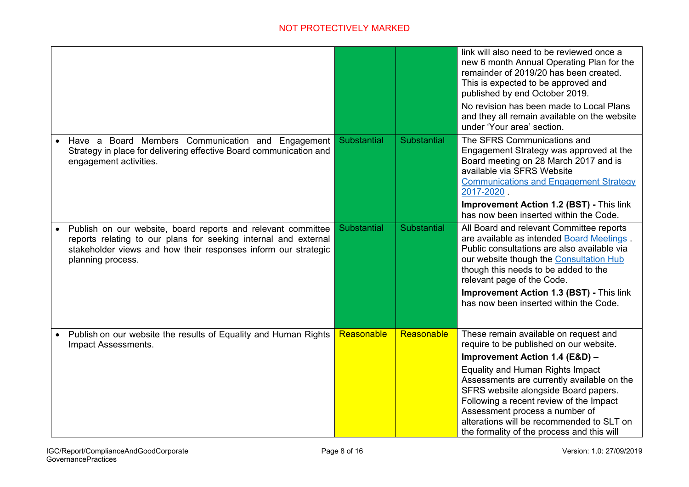|                                                                                                                                                                                                                        |             |                    | link will also need to be reviewed once a<br>new 6 month Annual Operating Plan for the<br>remainder of 2019/20 has been created.<br>This is expected to be approved and<br>published by end October 2019.                                                                                             |
|------------------------------------------------------------------------------------------------------------------------------------------------------------------------------------------------------------------------|-------------|--------------------|-------------------------------------------------------------------------------------------------------------------------------------------------------------------------------------------------------------------------------------------------------------------------------------------------------|
|                                                                                                                                                                                                                        |             |                    | No revision has been made to Local Plans<br>and they all remain available on the website<br>under 'Your area' section.                                                                                                                                                                                |
| Have a Board Members Communication and Engagement<br>Strategy in place for delivering effective Board communication and<br>engagement activities.                                                                      | Substantial | Substantial        | The SFRS Communications and<br>Engagement Strategy was approved at the<br>Board meeting on 28 March 2017 and is<br>available via SFRS Website<br><b>Communications and Engagement Strategy</b><br>2017-2020.<br><b>Improvement Action 1.2 (BST) - This link</b>                                       |
|                                                                                                                                                                                                                        |             |                    | has now been inserted within the Code.                                                                                                                                                                                                                                                                |
| Publish on our website, board reports and relevant committee<br>reports relating to our plans for seeking internal and external<br>stakeholder views and how their responses inform our strategic<br>planning process. | Substantial | <b>Substantial</b> | All Board and relevant Committee reports<br>are available as intended Board Meetings.<br>Public consultations are also available via<br>our website though the Consultation Hub<br>though this needs to be added to the<br>relevant page of the Code.                                                 |
|                                                                                                                                                                                                                        |             |                    | <b>Improvement Action 1.3 (BST) - This link</b><br>has now been inserted within the Code.                                                                                                                                                                                                             |
| Publish on our website the results of Equality and Human Rights<br>Impact Assessments.                                                                                                                                 | Reasonable  | Reasonable         | These remain available on request and<br>require to be published on our website.                                                                                                                                                                                                                      |
|                                                                                                                                                                                                                        |             |                    | Improvement Action 1.4 (E&D) -                                                                                                                                                                                                                                                                        |
|                                                                                                                                                                                                                        |             |                    | <b>Equality and Human Rights Impact</b><br>Assessments are currently available on the<br>SFRS website alongside Board papers.<br>Following a recent review of the Impact<br>Assessment process a number of<br>alterations will be recommended to SLT on<br>the formality of the process and this will |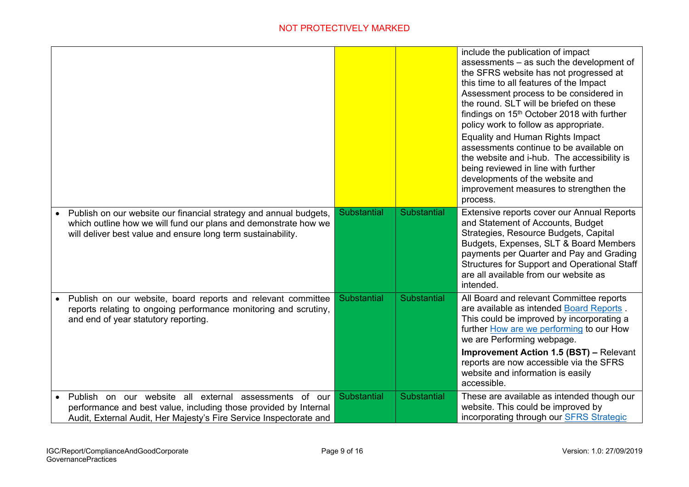|                                                                                                                                                                                                        |             |             | include the publication of impact<br>assessments – as such the development of<br>the SFRS website has not progressed at<br>this time to all features of the Impact<br>Assessment process to be considered in<br>the round. SLT will be briefed on these<br>findings on 15 <sup>th</sup> October 2018 with further<br>policy work to follow as appropriate.<br><b>Equality and Human Rights Impact</b><br>assessments continue to be available on<br>the website and i-hub. The accessibility is<br>being reviewed in line with further<br>developments of the website and<br>improvement measures to strengthen the<br>process. |
|--------------------------------------------------------------------------------------------------------------------------------------------------------------------------------------------------------|-------------|-------------|---------------------------------------------------------------------------------------------------------------------------------------------------------------------------------------------------------------------------------------------------------------------------------------------------------------------------------------------------------------------------------------------------------------------------------------------------------------------------------------------------------------------------------------------------------------------------------------------------------------------------------|
| • Publish on our website our financial strategy and annual budgets,<br>which outline how we will fund our plans and demonstrate how we<br>will deliver best value and ensure long term sustainability. | Substantial | Substantial | Extensive reports cover our Annual Reports<br>and Statement of Accounts, Budget<br>Strategies, Resource Budgets, Capital<br>Budgets, Expenses, SLT & Board Members<br>payments per Quarter and Pay and Grading<br><b>Structures for Support and Operational Staff</b><br>are all available from our website as<br>intended.                                                                                                                                                                                                                                                                                                     |
| • Publish on our website, board reports and relevant committee<br>reports relating to ongoing performance monitoring and scrutiny,<br>and end of year statutory reporting.                             | Substantial | Substantial | All Board and relevant Committee reports<br>are available as intended Board Reports.<br>This could be improved by incorporating a<br>further How are we performing to our How<br>we are Performing webpage.                                                                                                                                                                                                                                                                                                                                                                                                                     |
|                                                                                                                                                                                                        |             |             | <b>Improvement Action 1.5 (BST) – Relevant</b><br>reports are now accessible via the SFRS<br>website and information is easily<br>accessible.                                                                                                                                                                                                                                                                                                                                                                                                                                                                                   |
| Publish on our website all external assessments of our<br>performance and best value, including those provided by Internal<br>Audit, External Audit, Her Majesty's Fire Service Inspectorate and       | Substantial | Substantial | These are available as intended though our<br>website. This could be improved by<br>incorporating through our <b>SFRS</b> Strategic                                                                                                                                                                                                                                                                                                                                                                                                                                                                                             |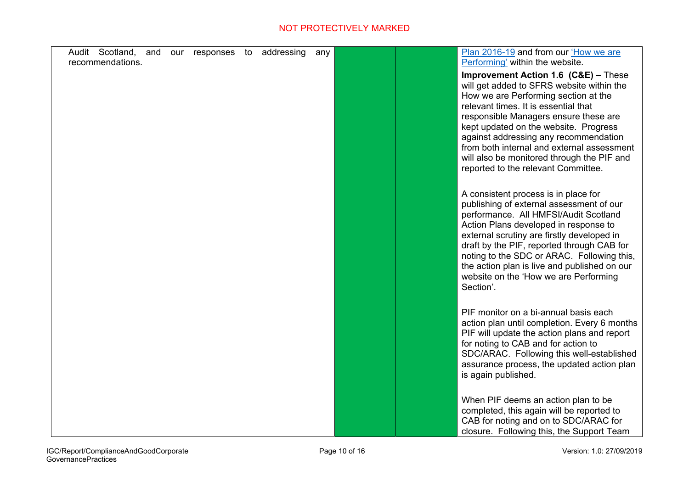| Audit Scotland, and | our responses to | addressing | any | Plan 2016-19 and from our 'How we are                                                    |
|---------------------|------------------|------------|-----|------------------------------------------------------------------------------------------|
| recommendations.    |                  |            |     | Performing' within the website.<br><b>Improvement Action 1.6 (C&amp;E) - These</b>       |
|                     |                  |            |     | will get added to SFRS website within the<br>How we are Performing section at the        |
|                     |                  |            |     | relevant times. It is essential that                                                     |
|                     |                  |            |     | responsible Managers ensure these are<br>kept updated on the website. Progress           |
|                     |                  |            |     | against addressing any recommendation                                                    |
|                     |                  |            |     | from both internal and external assessment<br>will also be monitored through the PIF and |
|                     |                  |            |     | reported to the relevant Committee.                                                      |
|                     |                  |            |     | A consistent process is in place for                                                     |
|                     |                  |            |     | publishing of external assessment of our                                                 |
|                     |                  |            |     | performance. All HMFSI/Audit Scotland<br>Action Plans developed in response to           |
|                     |                  |            |     | external scrutiny are firstly developed in                                               |
|                     |                  |            |     | draft by the PIF, reported through CAB for<br>noting to the SDC or ARAC. Following this, |
|                     |                  |            |     | the action plan is live and published on our                                             |
|                     |                  |            |     | website on the 'How we are Performing<br>Section'.                                       |
|                     |                  |            |     |                                                                                          |
|                     |                  |            |     | PIF monitor on a bi-annual basis each<br>action plan until completion. Every 6 months    |
|                     |                  |            |     | PIF will update the action plans and report                                              |
|                     |                  |            |     | for noting to CAB and for action to<br>SDC/ARAC. Following this well-established         |
|                     |                  |            |     | assurance process, the updated action plan                                               |
|                     |                  |            |     | is again published.                                                                      |
|                     |                  |            |     | When PIF deems an action plan to be                                                      |
|                     |                  |            |     | completed, this again will be reported to<br>CAB for noting and on to SDC/ARAC for       |
|                     |                  |            |     | closure. Following this, the Support Team                                                |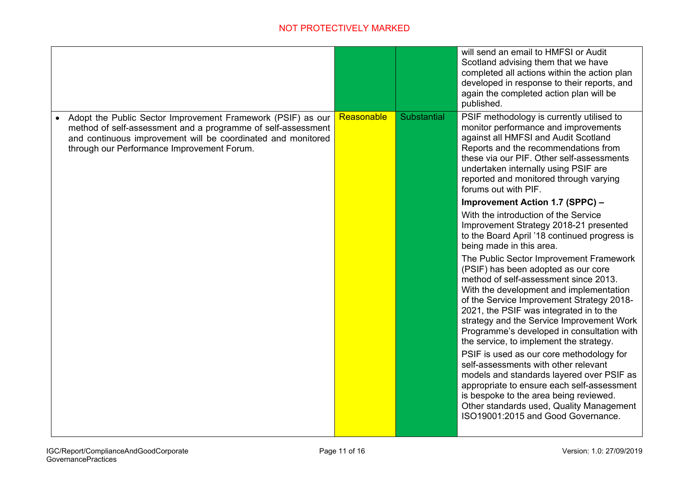|                                                                                                                                                                                                                                           |            |                    | will send an email to HMFSI or Audit<br>Scotland advising them that we have<br>completed all actions within the action plan<br>developed in response to their reports, and<br>again the completed action plan will be<br>published.                                                                                                                                                              |
|-------------------------------------------------------------------------------------------------------------------------------------------------------------------------------------------------------------------------------------------|------------|--------------------|--------------------------------------------------------------------------------------------------------------------------------------------------------------------------------------------------------------------------------------------------------------------------------------------------------------------------------------------------------------------------------------------------|
| Adopt the Public Sector Improvement Framework (PSIF) as our<br>method of self-assessment and a programme of self-assessment<br>and continuous improvement will be coordinated and monitored<br>through our Performance Improvement Forum. | Reasonable | <b>Substantial</b> | PSIF methodology is currently utilised to<br>monitor performance and improvements<br>against all HMFSI and Audit Scotland<br>Reports and the recommendations from<br>these via our PIF. Other self-assessments<br>undertaken internally using PSIF are<br>reported and monitored through varying<br>forums out with PIF.                                                                         |
|                                                                                                                                                                                                                                           |            |                    | <b>Improvement Action 1.7 (SPPC) -</b><br>With the introduction of the Service<br>Improvement Strategy 2018-21 presented<br>to the Board April '18 continued progress is<br>being made in this area.                                                                                                                                                                                             |
|                                                                                                                                                                                                                                           |            |                    | The Public Sector Improvement Framework<br>(PSIF) has been adopted as our core<br>method of self-assessment since 2013.<br>With the development and implementation<br>of the Service Improvement Strategy 2018-<br>2021, the PSIF was integrated in to the<br>strategy and the Service Improvement Work<br>Programme's developed in consultation with<br>the service, to implement the strategy. |
|                                                                                                                                                                                                                                           |            |                    | PSIF is used as our core methodology for<br>self-assessments with other relevant<br>models and standards layered over PSIF as<br>appropriate to ensure each self-assessment<br>is bespoke to the area being reviewed.<br>Other standards used, Quality Management<br>ISO19001:2015 and Good Governance.                                                                                          |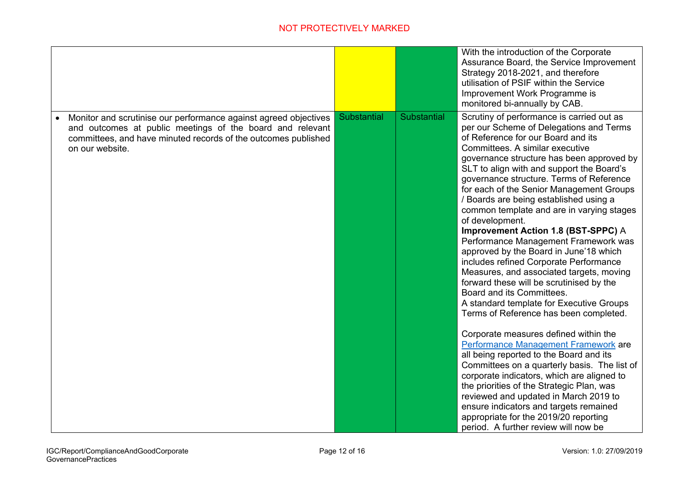|                                                                                                                                                                                                                    |             |             | With the introduction of the Corporate<br>Assurance Board, the Service Improvement                                                                                                                                                                                                                                                                                                                                                                        |
|--------------------------------------------------------------------------------------------------------------------------------------------------------------------------------------------------------------------|-------------|-------------|-----------------------------------------------------------------------------------------------------------------------------------------------------------------------------------------------------------------------------------------------------------------------------------------------------------------------------------------------------------------------------------------------------------------------------------------------------------|
|                                                                                                                                                                                                                    |             |             | Strategy 2018-2021, and therefore                                                                                                                                                                                                                                                                                                                                                                                                                         |
|                                                                                                                                                                                                                    |             |             | utilisation of PSIF within the Service                                                                                                                                                                                                                                                                                                                                                                                                                    |
|                                                                                                                                                                                                                    |             |             | Improvement Work Programme is                                                                                                                                                                                                                                                                                                                                                                                                                             |
|                                                                                                                                                                                                                    |             |             | monitored bi-annually by CAB.                                                                                                                                                                                                                                                                                                                                                                                                                             |
| Monitor and scrutinise our performance against agreed objectives<br>and outcomes at public meetings of the board and relevant<br>committees, and have minuted records of the outcomes published<br>on our website. | Substantial | Substantial | Scrutiny of performance is carried out as<br>per our Scheme of Delegations and Terms<br>of Reference for our Board and its<br>Committees. A similar executive<br>governance structure has been approved by<br>SLT to align with and support the Board's<br>governance structure. Terms of Reference<br>for each of the Senior Management Groups<br>/ Boards are being established using a<br>common template and are in varying stages<br>of development. |
|                                                                                                                                                                                                                    |             |             | Improvement Action 1.8 (BST-SPPC) A<br>Performance Management Framework was<br>approved by the Board in June'18 which<br>includes refined Corporate Performance<br>Measures, and associated targets, moving<br>forward these will be scrutinised by the<br>Board and its Committees.<br>A standard template for Executive Groups<br>Terms of Reference has been completed.                                                                                |
|                                                                                                                                                                                                                    |             |             | Corporate measures defined within the<br>Performance Management Framework are<br>all being reported to the Board and its<br>Committees on a quarterly basis. The list of<br>corporate indicators, which are aligned to<br>the priorities of the Strategic Plan, was<br>reviewed and updated in March 2019 to<br>ensure indicators and targets remained<br>appropriate for the 2019/20 reporting<br>period. A further review will now be                   |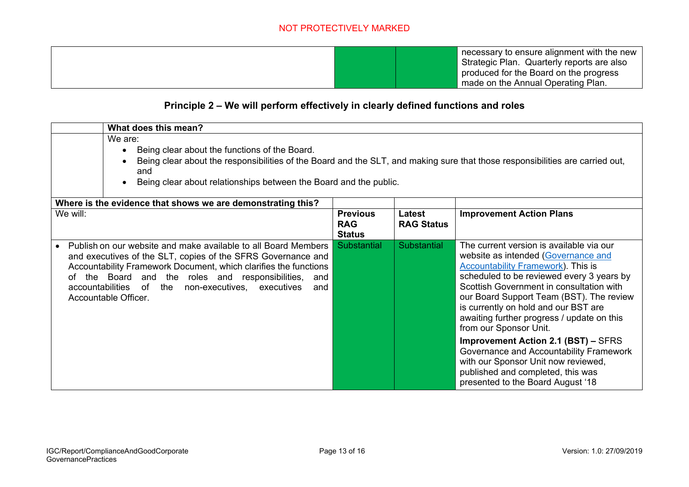necessary to ensure alignment with the new Strategic Plan. Quarterly reports are also produced for the Board on the progress made on the Annual Operating Plan.

### **Principle 2 – We will perform effectively in clearly defined functions and roles**

|          | What does this mean?                                                                                                                                                                                                                                                                                                                            |                                                |                             |                                                                                                                                                                                                                                                                                                                                                                                                                                                                                                                                                                                             |  |  |
|----------|-------------------------------------------------------------------------------------------------------------------------------------------------------------------------------------------------------------------------------------------------------------------------------------------------------------------------------------------------|------------------------------------------------|-----------------------------|---------------------------------------------------------------------------------------------------------------------------------------------------------------------------------------------------------------------------------------------------------------------------------------------------------------------------------------------------------------------------------------------------------------------------------------------------------------------------------------------------------------------------------------------------------------------------------------------|--|--|
|          | We are:                                                                                                                                                                                                                                                                                                                                         |                                                |                             |                                                                                                                                                                                                                                                                                                                                                                                                                                                                                                                                                                                             |  |  |
|          | Being clear about the functions of the Board.<br>$\bullet$                                                                                                                                                                                                                                                                                      |                                                |                             |                                                                                                                                                                                                                                                                                                                                                                                                                                                                                                                                                                                             |  |  |
|          | Being clear about the responsibilities of the Board and the SLT, and making sure that those responsibilities are carried out,                                                                                                                                                                                                                   |                                                |                             |                                                                                                                                                                                                                                                                                                                                                                                                                                                                                                                                                                                             |  |  |
|          | and                                                                                                                                                                                                                                                                                                                                             |                                                |                             |                                                                                                                                                                                                                                                                                                                                                                                                                                                                                                                                                                                             |  |  |
|          | Being clear about relationships between the Board and the public.                                                                                                                                                                                                                                                                               |                                                |                             |                                                                                                                                                                                                                                                                                                                                                                                                                                                                                                                                                                                             |  |  |
|          | Where is the evidence that shows we are demonstrating this?                                                                                                                                                                                                                                                                                     |                                                |                             |                                                                                                                                                                                                                                                                                                                                                                                                                                                                                                                                                                                             |  |  |
| We will: |                                                                                                                                                                                                                                                                                                                                                 | <b>Previous</b><br><b>RAG</b><br><b>Status</b> | Latest<br><b>RAG Status</b> | <b>Improvement Action Plans</b>                                                                                                                                                                                                                                                                                                                                                                                                                                                                                                                                                             |  |  |
| of       | Publish on our website and make available to all Board Members<br>and executives of the SLT, copies of the SFRS Governance and<br>Accountability Framework Document, which clarifies the functions<br>the Board and the roles and responsibilities, and<br>accountabilities of<br>the non-executives, executives<br>and<br>Accountable Officer. | <b>Substantial</b>                             | <b>Substantial</b>          | The current version is available via our<br>website as intended (Governance and<br><b>Accountability Framework). This is</b><br>scheduled to be reviewed every 3 years by<br>Scottish Government in consultation with<br>our Board Support Team (BST). The review<br>is currently on hold and our BST are<br>awaiting further progress / update on this<br>from our Sponsor Unit.<br><b>Improvement Action 2.1 (BST) - SFRS</b><br>Governance and Accountability Framework<br>with our Sponsor Unit now reviewed,<br>published and completed, this was<br>presented to the Board August '18 |  |  |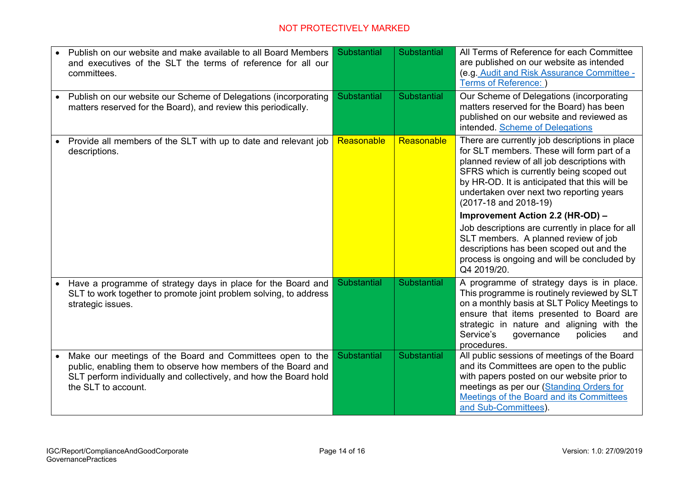|           | Publish on our website and make available to all Board Members<br>and executives of the SLT the terms of reference for all our<br>committees.                                                                          | Substantial | Substantial | All Terms of Reference for each Committee<br>are published on our website as intended<br>(e.g. Audit and Risk Assurance Committee -<br>Terms of Reference: )                                                                                                                                                 |  |
|-----------|------------------------------------------------------------------------------------------------------------------------------------------------------------------------------------------------------------------------|-------------|-------------|--------------------------------------------------------------------------------------------------------------------------------------------------------------------------------------------------------------------------------------------------------------------------------------------------------------|--|
| $\bullet$ | Publish on our website our Scheme of Delegations (incorporating<br>matters reserved for the Board), and review this periodically.                                                                                      | Substantial | Substantial | Our Scheme of Delegations (incorporating<br>matters reserved for the Board) has been<br>published on our website and reviewed as<br>intended. Scheme of Delegations                                                                                                                                          |  |
|           | Provide all members of the SLT with up to date and relevant job<br>descriptions.                                                                                                                                       | Reasonable  | Reasonable  | There are currently job descriptions in place<br>for SLT members. These will form part of a<br>planned review of all job descriptions with<br>SFRS which is currently being scoped out<br>by HR-OD. It is anticipated that this will be<br>undertaken over next two reporting years<br>(2017-18 and 2018-19) |  |
|           |                                                                                                                                                                                                                        |             |             | Improvement Action 2.2 (HR-OD) -                                                                                                                                                                                                                                                                             |  |
|           |                                                                                                                                                                                                                        |             |             | Job descriptions are currently in place for all<br>SLT members. A planned review of job<br>descriptions has been scoped out and the<br>process is ongoing and will be concluded by<br>Q4 2019/20.                                                                                                            |  |
| $\bullet$ | Have a programme of strategy days in place for the Board and<br>SLT to work together to promote joint problem solving, to address<br>strategic issues.                                                                 | Substantial | Substantial | A programme of strategy days is in place.<br>This programme is routinely reviewed by SLT<br>on a monthly basis at SLT Policy Meetings to<br>ensure that items presented to Board are<br>strategic in nature and aligning with the<br>Service's<br>governance<br>policies<br>and<br>procedures.               |  |
|           | Make our meetings of the Board and Committees open to the<br>public, enabling them to observe how members of the Board and<br>SLT perform individually and collectively, and how the Board hold<br>the SLT to account. | Substantial | Substantial | All public sessions of meetings of the Board<br>and its Committees are open to the public<br>with papers posted on our website prior to<br>meetings as per our (Standing Orders for<br>Meetings of the Board and its Committees<br>and Sub-Committees).                                                      |  |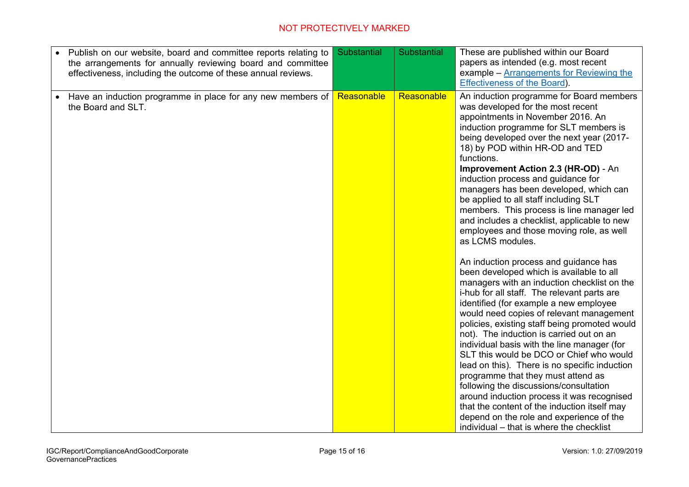| Publish on our website, board and committee reports relating to<br>the arrangements for annually reviewing board and committee<br>effectiveness, including the outcome of these annual reviews. | Substantial | Substantial | These are published within our Board<br>papers as intended (e.g. most recent<br>example – Arrangements for Reviewing the<br><b>Effectiveness of the Board).</b>                                                                                                                                                                                                                                                                                                                                                                                                                                                                                                                                                                                                                                                                                                                                                                                                                                                                                                                                                                                                                                                                                                                                                                    |
|-------------------------------------------------------------------------------------------------------------------------------------------------------------------------------------------------|-------------|-------------|------------------------------------------------------------------------------------------------------------------------------------------------------------------------------------------------------------------------------------------------------------------------------------------------------------------------------------------------------------------------------------------------------------------------------------------------------------------------------------------------------------------------------------------------------------------------------------------------------------------------------------------------------------------------------------------------------------------------------------------------------------------------------------------------------------------------------------------------------------------------------------------------------------------------------------------------------------------------------------------------------------------------------------------------------------------------------------------------------------------------------------------------------------------------------------------------------------------------------------------------------------------------------------------------------------------------------------|
| Have an induction programme in place for any new members of<br>the Board and SLT.                                                                                                               | Reasonable  | Reasonable  | An induction programme for Board members<br>was developed for the most recent<br>appointments in November 2016. An<br>induction programme for SLT members is<br>being developed over the next year (2017-<br>18) by POD within HR-OD and TED<br>functions.<br>Improvement Action 2.3 (HR-OD) - An<br>induction process and guidance for<br>managers has been developed, which can<br>be applied to all staff including SLT<br>members. This process is line manager led<br>and includes a checklist, applicable to new<br>employees and those moving role, as well<br>as LCMS modules.<br>An induction process and guidance has<br>been developed which is available to all<br>managers with an induction checklist on the<br>i-hub for all staff. The relevant parts are<br>identified (for example a new employee<br>would need copies of relevant management<br>policies, existing staff being promoted would<br>not). The induction is carried out on an<br>individual basis with the line manager (for<br>SLT this would be DCO or Chief who would<br>lead on this). There is no specific induction<br>programme that they must attend as<br>following the discussions/consultation<br>around induction process it was recognised<br>that the content of the induction itself may<br>depend on the role and experience of the |
|                                                                                                                                                                                                 |             |             | individual – that is where the checklist                                                                                                                                                                                                                                                                                                                                                                                                                                                                                                                                                                                                                                                                                                                                                                                                                                                                                                                                                                                                                                                                                                                                                                                                                                                                                           |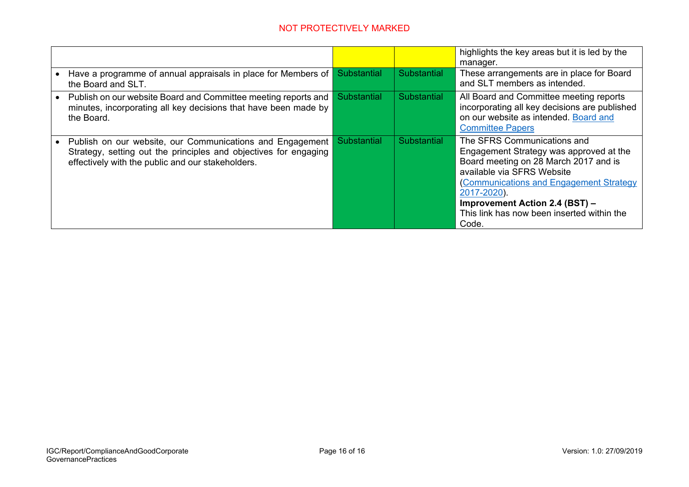|                                                                                                                                                                                    |                    |             | highlights the key areas but it is led by the<br>manager.                                                                                                                                                                                                                                               |
|------------------------------------------------------------------------------------------------------------------------------------------------------------------------------------|--------------------|-------------|---------------------------------------------------------------------------------------------------------------------------------------------------------------------------------------------------------------------------------------------------------------------------------------------------------|
| Have a programme of annual appraisals in place for Members of<br>the Board and SLT.                                                                                                | <b>Substantial</b> | Substantial | These arrangements are in place for Board<br>and SLT members as intended.                                                                                                                                                                                                                               |
| Publish on our website Board and Committee meeting reports and<br>minutes, incorporating all key decisions that have been made by<br>the Board.                                    | <b>Substantial</b> | Substantial | All Board and Committee meeting reports<br>incorporating all key decisions are published<br>on our website as intended. Board and<br><b>Committee Papers</b>                                                                                                                                            |
| Publish on our website, our Communications and Engagement<br>Strategy, setting out the principles and objectives for engaging<br>effectively with the public and our stakeholders. | <b>Substantial</b> | Substantial | The SFRS Communications and<br>Engagement Strategy was approved at the<br>Board meeting on 28 March 2017 and is<br>available via SFRS Website<br>(Communications and Engagement Strategy<br>2017-2020).<br><b>Improvement Action 2.4 (BST) -</b><br>This link has now been inserted within the<br>Code. |